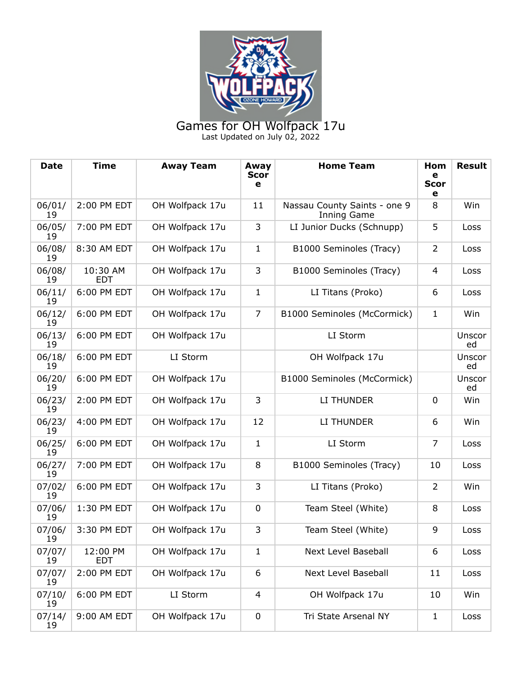

Games for OH Wolfpack 17u Last Updated on July 02, 2022

| Date         | <b>Time</b>            | <b>Away Team</b> | Away<br><b>Scor</b><br>e | <b>Home Team</b>                            | Hom<br>e<br><b>Scor</b><br>e | <b>Result</b> |
|--------------|------------------------|------------------|--------------------------|---------------------------------------------|------------------------------|---------------|
| 06/01/<br>19 | 2:00 PM EDT            | OH Wolfpack 17u  | 11                       | Nassau County Saints - one 9<br>Inning Game | 8                            | Win           |
| 06/05/<br>19 | 7:00 PM EDT            | OH Wolfpack 17u  | 3                        | LI Junior Ducks (Schnupp)                   | 5                            | Loss          |
| 06/08/<br>19 | 8:30 AM EDT            | OH Wolfpack 17u  | $\mathbf{1}$             | B1000 Seminoles (Tracy)                     | $\overline{2}$               | Loss          |
| 06/08/<br>19 | 10:30 AM<br><b>EDT</b> | OH Wolfpack 17u  | 3                        | B1000 Seminoles (Tracy)                     | 4                            | Loss          |
| 06/11/<br>19 | 6:00 PM EDT            | OH Wolfpack 17u  | $\mathbf{1}$             | LI Titans (Proko)                           | 6                            | Loss          |
| 06/12/<br>19 | 6:00 PM EDT            | OH Wolfpack 17u  | $\overline{7}$           | B1000 Seminoles (McCormick)                 | $\mathbf{1}$                 | Win           |
| 06/13/<br>19 | 6:00 PM EDT            | OH Wolfpack 17u  |                          | LI Storm                                    |                              | Unscor<br>ed  |
| 06/18/<br>19 | 6:00 PM EDT            | LI Storm         |                          | OH Wolfpack 17u                             |                              | Unscor<br>ed  |
| 06/20/<br>19 | 6:00 PM EDT            | OH Wolfpack 17u  |                          | B1000 Seminoles (McCormick)                 |                              | Unscor<br>ed  |
| 06/23/<br>19 | 2:00 PM EDT            | OH Wolfpack 17u  | 3                        | LI THUNDER                                  | $\mathbf 0$                  | Win           |
| 06/23/<br>19 | 4:00 PM EDT            | OH Wolfpack 17u  | 12                       | LI THUNDER                                  | 6                            | Win           |
| 06/25/<br>19 | 6:00 PM EDT            | OH Wolfpack 17u  | $\mathbf{1}$             | LI Storm                                    | $\overline{7}$               | Loss          |
| 06/27/<br>19 | 7:00 PM EDT            | OH Wolfpack 17u  | 8                        | B1000 Seminoles (Tracy)                     | 10                           | Loss          |
| 07/02/<br>19 | 6:00 PM EDT            | OH Wolfpack 17u  | 3                        | LI Titans (Proko)                           | 2                            | Win           |
| 07/06/<br>19 | 1:30 PM EDT            | OH Wolfpack 17u  | $\mathbf 0$              | Team Steel (White)                          | 8                            | Loss          |
| 07/06/<br>19 | 3:30 PM EDT            | OH Wolfpack 17u  | 3                        | Team Steel (White)                          | 9                            | Loss          |
| 07/07/<br>19 | 12:00 PM<br><b>EDT</b> | OH Wolfpack 17u  | $\mathbf{1}$             | Next Level Baseball                         | 6                            | Loss          |
| 07/07/<br>19 | 2:00 PM EDT            | OH Wolfpack 17u  | 6                        | <b>Next Level Baseball</b>                  | 11                           | Loss          |
| 07/10/<br>19 | 6:00 PM EDT            | LI Storm         | 4                        | OH Wolfpack 17u                             | 10                           | Win           |
| 07/14/<br>19 | 9:00 AM EDT            | OH Wolfpack 17u  | $\mathbf 0$              | Tri State Arsenal NY                        | $\mathbf{1}$                 | Loss          |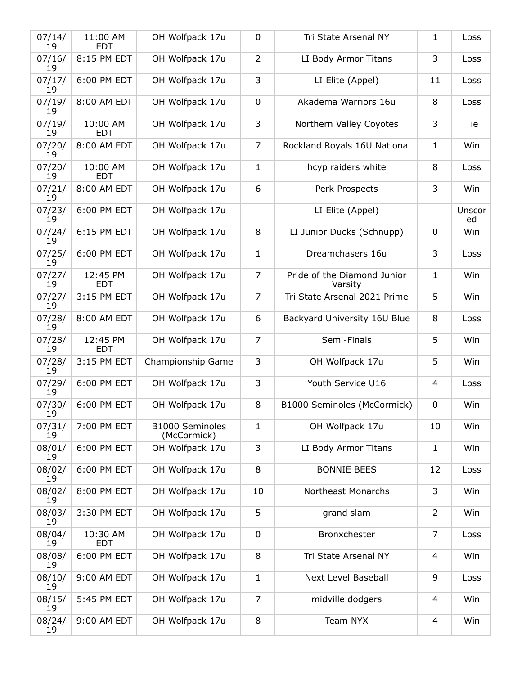| 07/14/<br>19 | 11:00 AM<br><b>EDT</b> | OH Wolfpack 17u                | $\mathbf 0$    | Tri State Arsenal NY                   | 1              | Loss         |
|--------------|------------------------|--------------------------------|----------------|----------------------------------------|----------------|--------------|
| 07/16/<br>19 | 8:15 PM EDT            | OH Wolfpack 17u                | $\overline{2}$ | LI Body Armor Titans                   | 3              | Loss         |
| 07/17/<br>19 | 6:00 PM EDT            | OH Wolfpack 17u                | 3              | LI Elite (Appel)                       | 11             | Loss         |
| 07/19/<br>19 | 8:00 AM EDT            | OH Wolfpack 17u                | $\mathbf 0$    | Akadema Warriors 16u                   | 8              | Loss         |
| 07/19/<br>19 | 10:00 AM<br><b>EDT</b> | OH Wolfpack 17u                | 3              | Northern Valley Coyotes                | 3              | Tie          |
| 07/20/<br>19 | 8:00 AM EDT            | OH Wolfpack 17u                | $\overline{7}$ | Rockland Royals 16U National           | $\mathbf{1}$   | Win          |
| 07/20/<br>19 | 10:00 AM<br><b>EDT</b> | OH Wolfpack 17u                | $\mathbf{1}$   | hcyp raiders white                     | 8              | Loss         |
| 07/21/<br>19 | 8:00 AM EDT            | OH Wolfpack 17u                | 6              | Perk Prospects                         | 3              | Win          |
| 07/23/<br>19 | 6:00 PM EDT            | OH Wolfpack 17u                |                | LI Elite (Appel)                       |                | Unscor<br>ed |
| 07/24/<br>19 | 6:15 PM EDT            | OH Wolfpack 17u                | 8              | LI Junior Ducks (Schnupp)              | $\mathbf 0$    | Win          |
| 07/25/<br>19 | 6:00 PM EDT            | OH Wolfpack 17u                | $\mathbf{1}$   | Dreamchasers 16u                       | 3              | Loss         |
| 07/27/<br>19 | 12:45 PM<br><b>EDT</b> | OH Wolfpack 17u                | $\overline{7}$ | Pride of the Diamond Junior<br>Varsity | $\mathbf{1}$   | Win          |
| 07/27/<br>19 | 3:15 PM EDT            | OH Wolfpack 17u                | 7              | Tri State Arsenal 2021 Prime           | 5              | Win          |
| 07/28/<br>19 | 8:00 AM EDT            | OH Wolfpack 17u                | 6              | Backyard University 16U Blue           | 8              | Loss         |
| 07/28/<br>19 | 12:45 PM<br><b>EDT</b> | OH Wolfpack 17u                | $\overline{7}$ | Semi-Finals                            | 5              | Win          |
| 07/28/<br>19 | 3:15 PM EDT            | Championship Game              | 3              | OH Wolfpack 17u                        | 5              | Win          |
| 07/29/<br>19 | 6:00 PM EDT            | OH Wolfpack 17u                | 3              | Youth Service U16                      | 4              | Loss         |
| 07/30/<br>19 | 6:00 PM EDT            | OH Wolfpack 17u                | 8              | B1000 Seminoles (McCormick)            | $\pmb{0}$      | Win          |
| 07/31/<br>19 | 7:00 PM EDT            | B1000 Seminoles<br>(McCormick) | $\mathbf{1}$   | OH Wolfpack 17u                        | 10             | Win          |
| 08/01/<br>19 | 6:00 PM EDT            | OH Wolfpack 17u                | 3              | LI Body Armor Titans                   | $\mathbf{1}$   | Win          |
| 08/02/<br>19 | 6:00 PM EDT            | OH Wolfpack 17u                | 8              | <b>BONNIE BEES</b>                     | 12             | Loss         |
| 08/02/<br>19 | 8:00 PM EDT            | OH Wolfpack 17u                | 10             | Northeast Monarchs                     | 3              | Win          |
| 08/03/<br>19 | 3:30 PM EDT            | OH Wolfpack 17u                | 5              | grand slam                             | 2              | Win          |
| 08/04/<br>19 | 10:30 AM<br><b>EDT</b> | OH Wolfpack 17u                | $\mathbf 0$    | Bronxchester                           | $\overline{7}$ | Loss         |
| 08/08/<br>19 | 6:00 PM EDT            | OH Wolfpack 17u                | 8              | Tri State Arsenal NY                   | 4              | Win          |
| 08/10/<br>19 | 9:00 AM EDT            | OH Wolfpack 17u                | $\mathbf{1}$   | Next Level Baseball                    | 9              | Loss         |
| 08/15/<br>19 | 5:45 PM EDT            | OH Wolfpack 17u                | 7              | midville dodgers                       | 4              | Win          |
| 08/24/<br>19 | 9:00 AM EDT            | OH Wolfpack 17u                | 8              | Team NYX                               | 4              | Win          |